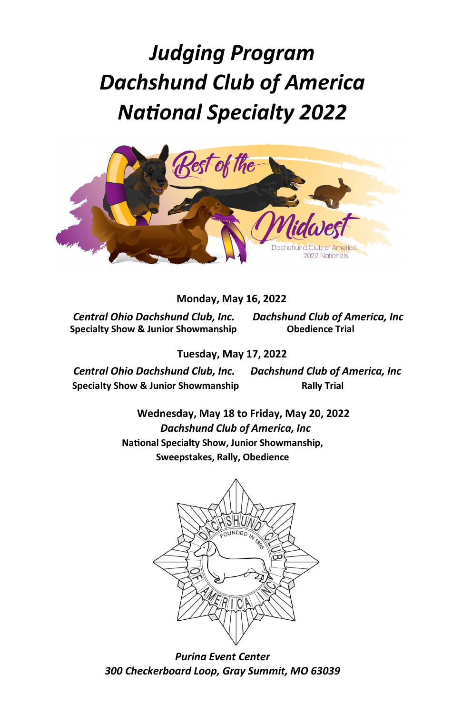# *Judging Program Dachshund Club of America National Specialty 2022*



 **Monday, May 16, 2022**

 *Central Ohio Dachshund Club, Inc. Dachshund Club of America, Inc*  **Specialty Show & Junior Showmanship** 

 **Tuesday, May 17, 2022**

 *Central Ohio Dachshund Club, Inc. Dachshund Club of America, Inc*  **Specialty Show & Junior Showmanship Rally Trial** 

**Wednesday, May 18 to Friday, May 20, 2022**  *Dachshund Club of America, Inc*  **National Specialty Show, Junior Showmanship, Sweepstakes, Rally, Obedience**



*Purina Event Center 300 Checkerboard Loop, Gray Summit, MO 63039*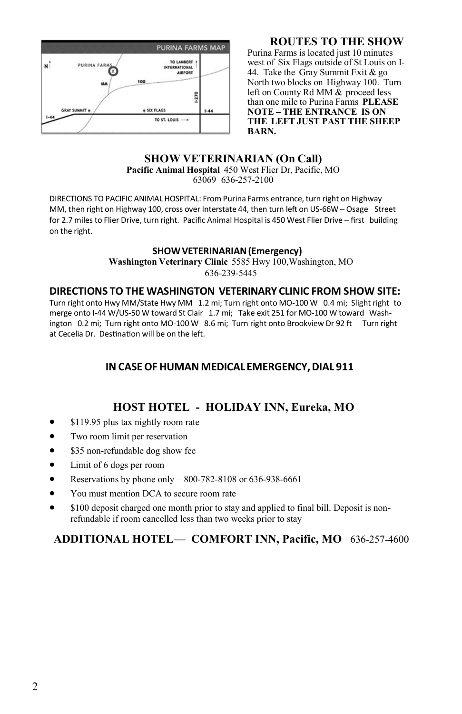

# **ROUTES TO THE SHOW**

Purina Farms is located just 10 minutes west of Six Flags outside of St Louis on I‐ 44. Take the Gray Summit Exit & go North two blocks on Highway 100. Turn left on County Rd MM & proceed less than one mile to Purina Farms **PLEASE NOTE – THE ENTRANCE IS ON THE LEFT JUST PAST THE SHEEP BARN.**

#### **SHOW VETERINARIAN (On Call) Pacific Animal Hospital** 450 West Flier Dr, Pacific, MO 63069 636‐257‐2100

DIRECTIONS TO PACIFIC ANIMAL HOSPITAL: From Purina Farms entrance, turn right on Highway MM, then right on Highway 100, cross over Interstate 44, then turn left on US-66W – Osage Street for 2.7 miles to Flier Drive, turn right. Pacific Animal Hospital is 450 West Flier Drive – first building on the right.

# **SHOWVETERINARIAN(Emergency)**

**Washington Veterinary Clinic** 5585 Hwy 100,Washington, MO 636‐239‐5445

# **DIRECTIONS TO THE WASHINGTON VETERINARY CLINIC FROM SHOW SITE:**

Turn right onto Hwy MM/State Hwy MM 1.2 mi; Turn right onto MO-100 W 0.4 mi; Slight right to merge onto I-44 W/US-50 W toward St Clair 1.7 mi; Take exit 251 for MO-100 W toward Washington 0.2 mi; Turn right onto MO-100 W 8.6 mi; Turn right onto Brookview Dr 92 ft Turn right at Cecelia Dr. Destination will be on the left.

# **IN CASE OF HUMAN MEDICAL EMERGENCY, DIAL 911**

# **HOST HOTEL - HOLIDAY INN, Eureka, MO**

- \$119.95 plus tax nightly room rate
- Two room limit per reservation
- \$35 non-refundable dog show fee
- Limit of 6 dogs per room
- Reservations by phone only 800-782-8108 or 636-938-6661
- You must mention DCA to secure room rate
- \$100 deposit charged one month prior to stay and applied to final bill. Deposit is nonrefundable if room cancelled less than two weeks prior to stay

# **ADDITIONAL HOTEL— COMFORT INN, Pacific, MO** 636‐257‐4600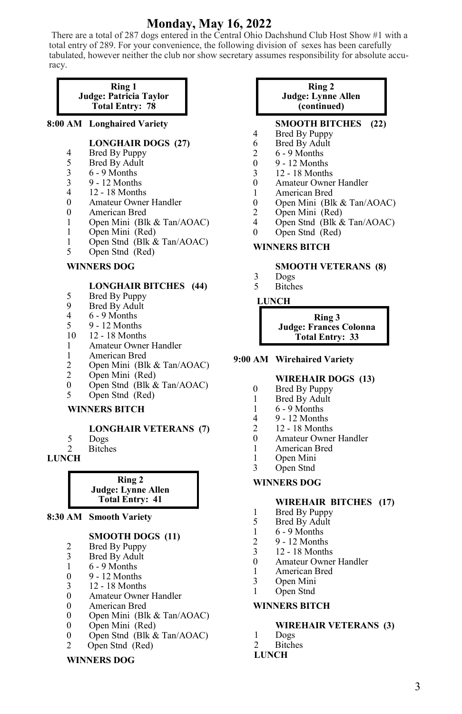# **Monday, May 16, 2022**

There are a total of 287 dogs entered in the Central Ohio Dachshund Club Host Show #1 with a total entry of 289. For your convenience, the following division of sexes has been carefully tabulated, however neither the club nor show secretary assumes responsibility for absolute accuracy.

#### **Ring 1 Judge: Patricia Taylor Total Entry: 78**

**8:00 AM Longhaired Variety**

# **LONGHAIR DOGS (27)**

- 4 Bred By Puppy<br>5 Bred By Adult
- $5$  Bred By Adult  $3$   $6 9$  Months
- 3 6 9 Months<br>3 9 12 Month
- 3 9 12 Months
- 4 12 18 Months
- 0 Amateur Owner Handler
- 0 American Bred<br>1 Open Mini (Bl)
- Open Mini (Blk & Tan/AOAC)
- 1 Open Mini (Red)
- 1 Open Stnd (Blk & Tan/AOAC)<br>5 Open Stnd (Red)
- Open Stnd (Red)

# **WINNERS DOG**

# **LONGHAIR BITCHES (44)**

- 5 Bred By Puppy<br>9 Bred By Adult
- 9 Bred By Adult  $\begin{array}{cc} 9 & 6 9 \text{ months} \end{array}$
- 4 6 9 Months
- 5 9 12 Months
- 10 12 18 Months
- 1 Amateur Owner Handler
- 1 American Bred<br>2 Open Mini (Bl)
- 2 Open Mini (Blk & Tan/AOAC)<br>2 Open Mini (Red)
- $Open$  Mini  $(Red)$
- 0 Open Stnd (Blk & Tan/AOAC)
- 5 Open Stnd (Red)

# **WINNERS BITCH**

# **LONGHAIR VETERANS (7)**

- 5 Dogs<br>2 Bitch
- **Bitches**

# **LUNCH**

#### **Ring 2 Judge: Lynne Allen Total Entry: 41**

**8:30 AM Smooth Variety**

# **SMOOTH DOGS (11)**

- 2 Bred By Puppy<br>3 Bred By Adult
- Bred By Adult
- 1 6 9 Months
- 0 9 12 Months<br>3 12 18 Month
- 3 12 18 Months
- 0 Amateur Owner Handler
- 0 American Bred
- 0 Open Mini (Blk & Tan/AOAC)
- 0 Open Mini (Red)
- 0 Open Stnd (Blk & Tan/AOAC)
- 2 Open Stnd (Red)

# **WINNERS DOG**

#### **Ring 2 Judge: Lynne Allen (continued)**

### **SMOOTH BITCHES (22)**

- 4 Bred By Puppy<br>6 Bred By Adult
- 6 Bred By Adult
- 2 6 9 Months<br>0 9 12 Month
- 0 9 12 Months<br>3 12 18 Months
- 3 12 18 Months
- 0 Amateur Owner Handler
- 1 American Bred
- 0 Open Mini (Blk & Tan/AOAC)<br>2 Open Mini (Red)
- Open Mini (Red)
- 4 Open Stnd (Blk & Tan/AOAC)
- 0 Open Stnd (Red)

# **WINNERS BITCH**

# **SMOOTH VETERANS (8)**

- 3 Dogs
- 5 Bitches

#### **LUNCH**

**Ring 3 Judge: Frances Colonna Total Entry: 33**

# **9:00 AM Wirehaired Variety**

#### **WIREHAIR DOGS (13)**

- 0 Bred By Puppy
- 1 Bred By Adult
- 1 6 9 Months
- 4 9 12 Months
- $2 \t 12 18$  Months<br>0 Amateur Owner
- 0 Amateur Owner Handler<br>1 American Bred
- American Bred
- 1 Open Mini<br>3 Open Stnd
- Open Stnd

# **WINNERS DOG**

# **WIREHAIR BITCHES (17)**

- 1 Bred By Puppy
- 5 Bred By Adult<br>1 6 9 Months
- 1 6 9 Months<br>2 9 12 Month
- 2 9 12 Months
- 3 12 18 Months
- 0 Amateur Owner Handler<br>1 American Bred American Bred
- 
- 3 Open Mini
- 1 Open Stnd

# **WINNERS BITCH**

# **WIREHAIR VETERANS (3)**

1 Dogs

# 2 Bitches

**LUNCH**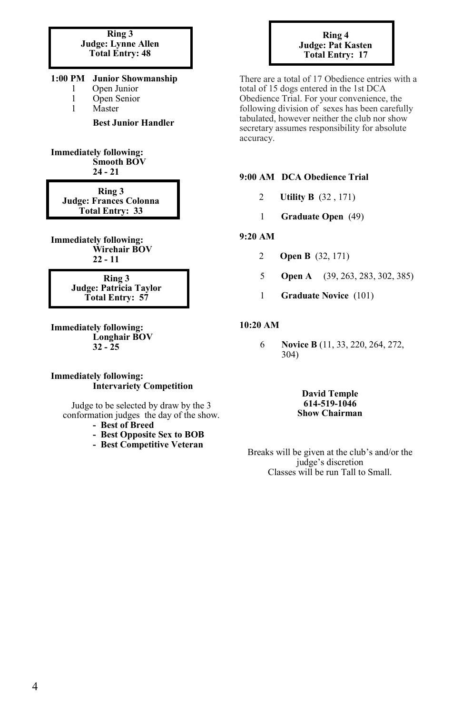#### **Ring 3 Judge: Lynne Allen Total Entry: 48**

**1:00 PM Junior Showmanship**

- 1 Open Junior
- 1 Open Senior<br>1 Master
- Master

#### **Best Junior Handler**

#### **Immediately following: Smooth BOV 24 - 21**

**Ring 3 Judge: Frances Colonna Total Entry: 33**

**Immediately following: Wirehair BOV 22 - 11**

> **Ring 3 Judge: Patricia Taylor Total Entry: 57**

**Immediately following: Longhair BOV 32 - 25**

#### **Immediately following: Intervariety Competition**

Judge to be selected by draw by the 3 conformation judges the day of the show.

- **- Best of Breed**
- **- Best Opposite Sex to BOB**
- **- Best Competitive Veteran**

There are a total of 17 Obedience entries with a total of 15 dogs entered in the 1st DCA Obedience Trial. For your convenience, the following division of sexes has been carefully tabulated, however neither the club nor show secretary assumes responsibility for absolute accuracy.

# **9:00 AM DCA Obedience Trial**

- 2 **Utility B** (32 , 171)
- 1 **Graduate Open** (49)

#### **9:20 AM**

- 2 **Open B** (32, 171)
- 5 **Open A** (39, 263, 283, 302, 385)
- 1 **Graduate Novice** (101)

#### **10:20 AM**

6 **Novice B** (11, 33, 220, 264, 272, 304)

> **David Temple 614-519-1046 Show Chairman**

Breaks will be given at the club's and/or the judge's discretion Classes will be run Tall to Small.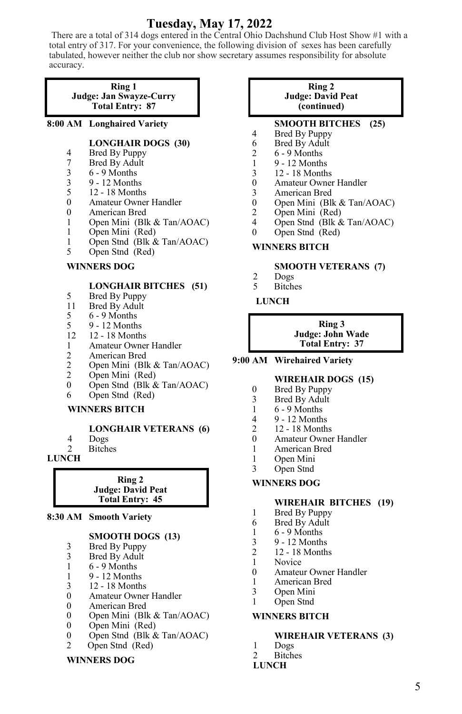# **Tuesday, May 17, 2022**

There are a total of 314 dogs entered in the Central Ohio Dachshund Club Host Show #1 with a total entry of 317. For your convenience, the following division of sexes has been carefully tabulated, however neither the club nor show secretary assumes responsibility for absolute accuracy.

#### **Ring 1 Judge: Jan Swayze-Curry Total Entry: 87**

#### **8:00 AM Longhaired Variety**

# **LONGHAIR DOGS (30)**

- 4 Bred By Puppy<br>7 Bred By Adult
- Bred By Adult
- 3 6 9 Months<br>3 9 12 Month
- 3 9 12 Months
- 5 12 18 Months
- 0 Amateur Owner Handler
- 0 American Bred<br>1 Open Mini (Bl)
- Open Mini (Blk & Tan/AOAC)
- 1 Open Mini (Red)
- 1 Open Stnd (Blk & Tan/AOAC)<br>5 Open Stnd (Red)
- Open Stnd (Red)

# **WINNERS DOG**

# **LONGHAIR BITCHES (51)**

- 5 Bred By Puppy<br>11 Bred By Adult
- 11 Bred By Adult<br>5 6 9 Months
- 5 6 9 Months<br>5 9 12 Month
- 5 9 12 Months
- 12 12 18 Months
- 1 Amateur Owner Handler<br>2 American Bred
- 2 American Bred<br>2 Open Mini (Bl)
- 2 Open Mini (Blk & Tan/AOAC)<br>2 Open Mini (Red)
- $Open$  Mini  $(Red)$
- 0 Open Stnd (Blk & Tan/AOAC)
- 6 Open Stnd (Red)

# **WINNERS BITCH**

# **LONGHAIR VETERANS (6)**

- 4 Dogs<br>2 Bitch
- **Bitches**

# **LUNCH**

### **Ring 2 Judge: David Peat Total Entry: 45**

# **8:30 AM Smooth Variety**

# **SMOOTH DOGS (13)**

- 3 Bred By Puppy
- **Bred By Adult**
- 1 6 9 Months
- 1 9 12 Months<br>3 12 18 Months
- 3 12 18 Months
- 0 Amateur Owner Handler
- 0 American Bred
- 0 Open Mini (Blk & Tan/AOAC)
- 0 Open Mini (Red)
- 0 Open Stnd (Blk & Tan/AOAC)
- 2 Open Stnd (Red)

# **WINNERS DOG**

#### **Ring 2 Judge: David Peat (continued)**

# **SMOOTH BITCHES (25)**

- 4 Bred By Puppy<br>6 Bred By Adult
- $\begin{array}{cc}\n 6 & \text{Bred By Adult} \\
2 & 6 9 \text{ Months}\n\end{array}$
- 2 6 9 Months
- 1 9 12 Months<br>3 12 18 Month
- 3 12 18 Months
- 0 Amateur Owner Handler
- 3 American Bred<br>0 Open Mini (Bl)
- 0 Open Mini (Blk & Tan/AOAC)<br>2 Open Mini (Red)
- 2 Open Mini (Red)<br>4 Open Stnd (Blk &
- Open Stnd (Blk & Tan/AOAC)
- 0 Open Stnd (Red)

#### **WINNERS BITCH**

#### **SMOOTH VETERANS (7)**

- 2 Dogs
- 5 Bitches

# **LUNCH**

#### **Ring 3 Judge: John Wade Total Entry: 37**

# **9:00 AM Wirehaired Variety**

# **WIREHAIR DOGS (15)**

- 0 Bred By Puppy
- 3 Bred By Adult<br>1 6 9 Months
- 1 6 9 Months<br>4 9 12 Month
- 4 9 12 Months
- 2 12 18 Months
- 0 Amateur Owner Handler
- American Bred
- 1 Open Mini
- 3 Open Stnd

# **WINNERS DOG**

# **WIREHAIR BITCHES (19)**

- 1 Bred By Puppy
- 6 Bred By Adult
- 1 6 9 Months<br>3 9 12 Month
- 3 9 12 Months
- 2 12 18 Months
- 1 Novice
- 0 Amateur Owner Handler<br>1 American Bred
- 1 American Bred<br>3 Open Mini
- Open Mini 1 Open Stnd

# **WINNERS BITCH**

# **WIREHAIR VETERANS (3)**

1 Dogs

# 2 Bitches

**LUNCH**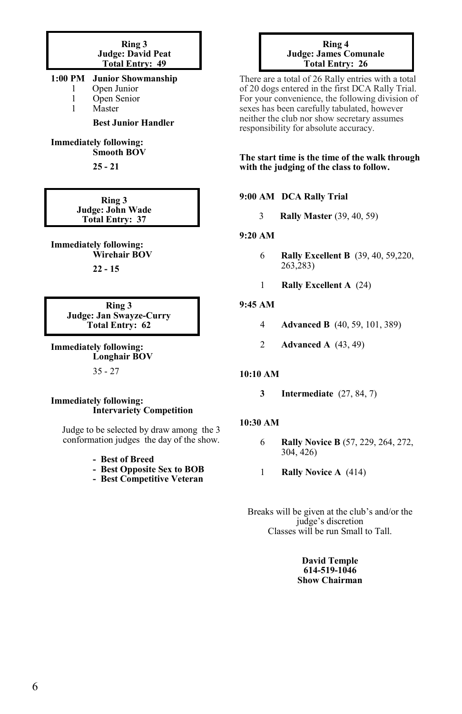#### **Ring 3 Judge: David Peat Total Entry: 49**

# **1:00 PM Junior Showmanship**

- 1 Open Junior
- 1 Open Senior<br>1 Master
- **Master**

#### **Best Junior Handler**

#### **Immediately following: Smooth BOV**

**25 - 21**

**Ring 3 Judge: John Wade Total Entry: 37**

**Immediately following: Wirehair BOV**

**22 - 15**

**Ring 3 Judge: Jan Swayze-Curry Total Entry: 62**

**Immediately following: Longhair BOV**  35 - 27

# **Immediately following: Intervariety Competition**

Judge to be selected by draw among the 3 conformation judges the day of the show.

- **- Best of Breed**
- **- Best Opposite Sex to BOB**
- **- Best Competitive Veteran**

#### **Ring 4 Judge: James Comunale Total Entry: 26**

There are a total of 26 Rally entries with a total of 20 dogs entered in the first DCA Rally Trial. For your convenience, the following division of sexes has been carefully tabulated, however neither the club nor show secretary assumes responsibility for absolute accuracy.

**The start time is the time of the walk through with the judging of the class to follow.**

# **9:00 AM DCA Rally Trial**

3 **Rally Master** (39, 40, 59)

#### **9:20 AM**

- 6 **Rally Excellent B** (39, 40, 59,220, 263,283)
- 1 **Rally Excellent A** (24)

# **9:45 AM**

- 4 **Advanced B** (40, 59, 101, 389)
- 2 **Advanced A** (43, 49)

# **10:10 AM**

**3 Intermediate** (27, 84, 7)

# **10:30 AM**

- 6 **Rally Novice B** (57, 229, 264, 272, 304, 426)
- 1 **Rally Novice A** (414)

Breaks will be given at the club's and/or the judge's discretion Classes will be run Small to Tall.

> **David Temple 614-519-1046 Show Chairman**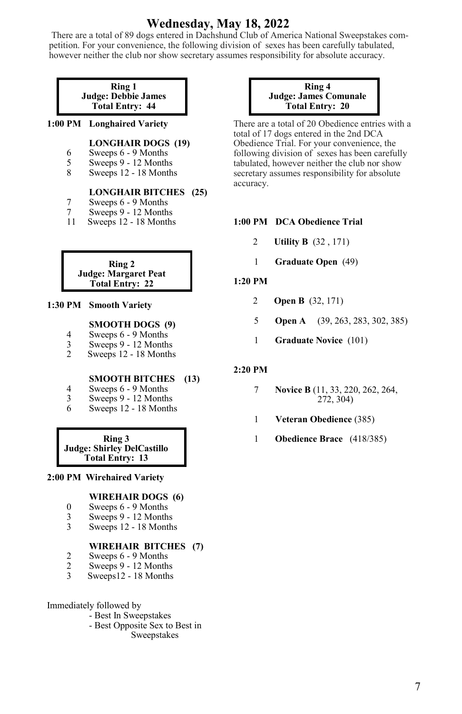# **Wednesday, May 18, 2022**

There are a total of 89 dogs entered in Dachshund Club of America National Sweepstakes competition. For your convenience, the following division of sexes has been carefully tabulated, however neither the club nor show secretary assumes responsibility for absolute accuracy.

**Ring 1 Judge: Debbie James Total Entry: 44**

# **1:00 PM Longhaired Variety**

# **LONGHAIR DOGS (19)**

- 6 Sweeps 6 9 Months
- 5 Sweeps 9 12 Months<br>8 Sweeps 12 18 Months
- 8 Sweeps 12 18 Months

# **LONGHAIR BITCHES (25)**

- 7 Sweeps 6 9 Months
- 7 Sweeps 9 12 Months<br>11 Sweeps 12 18 Months
- Sweeps 12 18 Months

#### **Ring 2 Judge: Margaret Peat Total Entry: 22**

# **1:30 PM Smooth Variety**

# **SMOOTH DOGS (9)**

- 4 Sweeps 6 9 Months<br>3 Sweeps 9 12 Months
- 3 Sweeps 9 12 Months<br>2 Sweeps 12 18 Months
- Sweeps 12 18 Months

# **SMOOTH BITCHES (13)**

- 4 Sweeps 6 9 Months<br>3 Sweeps 9 12 Months
- $3$  Sweeps  $9 12$  Months<br>6 Sweeps  $12 18$  Month
- Sweeps 12 18 Months

**Ring 3 Judge: Shirley DelCastillo Total Entry: 13**

# **2:00 PM Wirehaired Variety**

# **WIREHAIR DOGS (6)**

- 0 Sweeps 6 9 Months
- 3 Sweeps 9 12 Months<br>3 Sweeps 12 18 Months
- Sweeps 12 18 Months

# **WIREHAIR BITCHES (7)**

- 2 Sweeps 6 9 Months<br>2 Sweeps 9 12 Months
- 2 Sweeps 9 12 Months<br>3 Sweeps 12 18 Months
- Sweeps12 18 Months

#### Immediately followed by

- Best In Sweepstakes
- Best Opposite Sex to Best in

# Sweepstakes

#### **Ring 4 Judge: James Comunale Total Entry: 20**

There are a total of 20 Obedience entries with a total of 17 dogs entered in the 2nd DCA Obedience Trial. For your convenience, the following division of sexes has been carefully tabulated, however neither the club nor show secretary assumes responsibility for absolute accuracy.

# **1:00 PM DCA Obedience Trial**

- 2 **Utility B** (32 , 171)
- 1 **Graduate Open** (49)

# **1:20 PM**

- 2 **Open B** (32, 171)
- 5 **Open A** (39, 263, 283, 302, 385)
- 1 **Graduate Novice** (101)

# **2:20 PM**

- 7 **Novice B** (11, 33, 220, 262, 264, 272, 304)
- 1 **Veteran Obedience** (385)
- 1 **Obedience Brace** (418/385)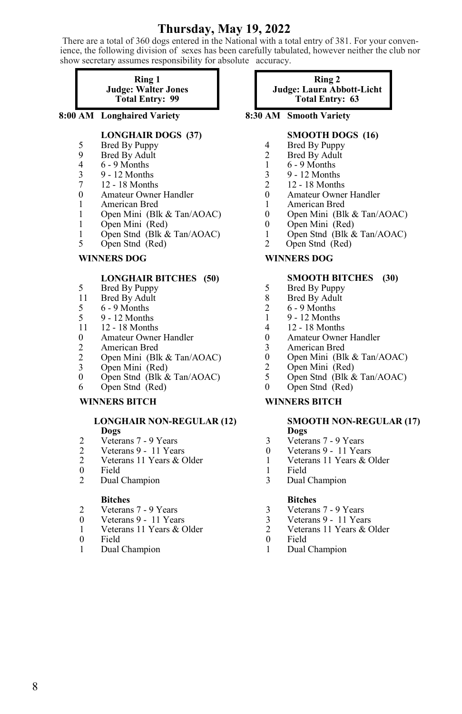# **Thursday, May 19, 2022**

There are a total of 360 dogs entered in the National with a total entry of 381. For your convenience, the following division of sexes has been carefully tabulated, however neither the club nor show secretary assumes responsibility for absolute accuracy.

> **Ring 1 Judge: Walter Jones Total Entry: 99**

**8:00 AM Longhaired Variety**

### **LONGHAIR DOGS (37)**

- 5 Bred By Puppy<br>9 Bred By Adult
- 9 Bred By Adult<br>4 6 9 Months
- $6 9$  Months
- 3 9 12 Months
- 12 18 Months
- 0 Amateur Owner Handler
- 1 American Bred<br>1 Open Mini (Bl)
- Open Mini (Blk & Tan/AOAC)
- 1 Open Mini (Red)
- 1 Open Stnd (Blk & Tan/AOAC)<br>5 Open Stnd (Red)
- Open Stnd (Red)

### **WINNERS DOG**

#### **LONGHAIR BITCHES (50)**

- 5 Bred By Puppy<br>11 Bred By Adult
- 11 Bred By Adult  $\begin{bmatrix} 6 & -9 \end{bmatrix}$  Months
- $5 \t 6 9$  Months<br> $5 \t 9 12$  Month
- 5 9 12 Months<br>11 12 18 Months
- 11 12 18 Months<br>0 Amateur Owner
- 0 Amateur Owner Handler
- 2 American Bred<br>2 Open Mini (Bl)
- 2 Open Mini (Blk & Tan/AOAC)<br>3 Open Mini (Red)
- $3$  Open Mini (Red)<br>0 Open Stnd (Rlk &
- 0 Open Stnd (Blk  $\&$  Tan/AOAC)<br>6 Open Stnd (Red)
- Open Stnd (Red)

# **WINNERS BITCH**

#### **LONGHAIR NON-REGULAR (12) Dogs**

- 2 Veterans 7 9 Years<br>2 Veterans 9 11 Year
- 2 Veterans 9 11 Years<br>2 Veterans 11 Years & C
- Veterans 11 Years & Older
- 0 Field<br>2 Dual
- Dual Champion

#### **Bitches**

- 2 Veterans 7 9 Years<br>0 Veterans 9 11 Year
- Veterans 9 11 Years
- 1 Veterans 11 Years & Older
- 0 Field<br>1 Dual
- Dual Champion

**Ring 2 Judge: Laura Abbott-Licht Total Entry: 63**

**8:30 AM Smooth Variety**

#### **SMOOTH DOGS (16)**

- 4 Bred By Puppy
- 2 Bred By Adult
- 1 6 9 Months
- 3 9 12 Months<br>2 12 18 Months
- 2 12 18 Months<br>0 Amateur Owner
- 0 Amateur Owner Handler
- 1 American Bred<br>0 Open Mini (Bll
- 0 Open Mini (Blk & Tan/AOAC)
- 0 Open Mini (Red)
- 1 Open Stnd (Blk & Tan/AOAC)<br>2 Open Stnd (Red)
- Open Stnd (Red)

### **WINNERS DOG**

#### **SMOOTH BITCHES (30)**

- 5 Bred By Puppy<br>8 Bred By Adult
- $\begin{array}{c}\n 8 \\
\hline\n 2 \\
\hline\n 6 9 \text{ months}\n \end{array}$
- $6 9$  Months
- 
- 1 9 12 Months<br>4 12 18 Months 4 12 - 18 Months
- 0 Amateur Owner Handler<br>3 American Bred
- 
- 3 American Bred<br>0 Open Mini (Bl) 0 Open Mini (Blk & Tan/AOAC)
- 
- 2 Open Mini (Red)<br>5 Open Stnd (Blk & 5 Open Stnd (Blk & Tan/AOAC)<br>0 Open Stnd (Red)
- Open Stnd (Red)

#### **WINNERS BITCH**

#### **SMOOTH NON-REGULAR (17) Dogs**

- 3 Veterans 7 9 Years<br>0 Veterans 9 11 Year
- Veterans 9 11 Years
- 1 Veterans 11 Years & Older
- 1 Field<br>3 Dual
- Dual Champion

#### **Bitches**

- 3 Veterans 7 9 Years<br>3 Veterans 9 11 Year
- 3 Veterans 9 11 Years<br>2 Veterans 11 Years & 0
- Veterans 11 Years & Older
- 0 Field<br>1 Dual
- Dual Champion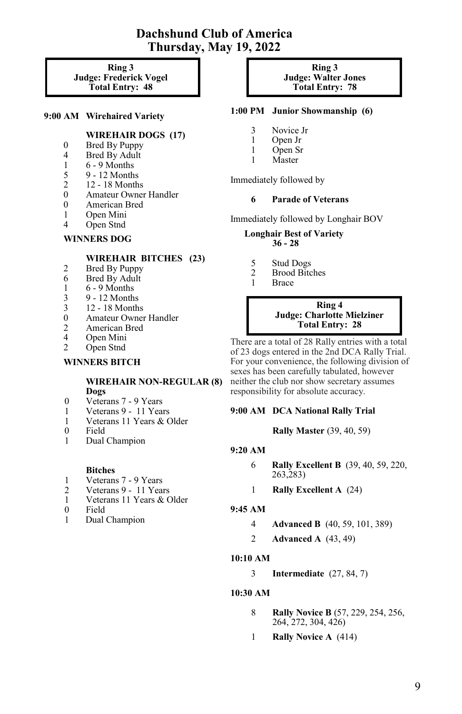# **Dachshund Club of America Thursday, May 19, 2022**

**Ring 3 Judge: Frederick Vogel Total Entry: 48**

#### **9:00 AM Wirehaired Variety**

#### **WIREHAIR DOGS (17)**

- 0 Bred By Puppy
- 4 Bred By Adult
- 1 6 9 Months<br>5 9 12 Months
- 5 9 12 Months<br>2 12 18 Months
- 2 12 18 Months<br>0 Amateur Owner
- 0 Amateur Owner Handler<br>0 American Bred
- American Bred
- 1 Open Mini
- 4 Open Stnd

# **WINNERS DOG**

# **WIREHAIR BITCHES (23)**

- 2 Bred By Puppy
- 6 Bred By Adult
- 1 6 9 Months
- 3 9 12 Months
- 3 12 18 Months
- 0 Amateur Owner Handler<br>2 American Bred
- 2 American Bred<br>4 Open Mini
- 4 Open Mini
- Open Stnd

#### **WINNERS BITCH**

#### **WIREHAIR NON-REGULAR (8) Dogs**

- 0 Veterans 7 9 Years
- 1 Veterans 9 11 Years
- 1 Veterans 11 Years & Older
- 0 Field<br>1 Dual
- Dual Champion

#### **Bitches**

- 1 Veterans 7 9 Years
- 2 Veterans 9 11 Years
- 1 Veterans 11 Years & Older
- **Field**
- 1 Dual Champion

#### **Ring 3 Judge: Walter Jones Total Entry: 78**

### **1:00 PM Junior Showmanship (6)**

- 3 Novice Jr
- 1 Open Jr
- 1 Open Sr
- Master

Immediately followed by

# **6 Parade of Veterans**

Immediately followed by Longhair BOV

#### **Longhair Best of Variety 36 - 28**

- 5 Stud Dogs<br>2 Brood Bite
- 2 Brood Bitches<br>1 Brace
- **Brace**

#### **Ring 4 Judge: Charlotte Mielziner Total Entry: 28**

There are a total of 28 Rally entries with a total of 23 dogs entered in the 2nd DCA Rally Trial. For your convenience, the following division of sexes has been carefully tabulated, however neither the club nor show secretary assumes responsibility for absolute accuracy.

#### **9:00 AM DCA National Rally Trial**

#### **Rally Master** (39, 40, 59)

#### **9:20 AM**

- 6 **Rally Excellent B** (39, 40, 59, 220, 263,283)
- 1 **Rally Excellent A** (24)

#### **9:45 AM**

- 4 **Advanced B** (40, 59, 101, 389)
- 2 **Advanced A** (43, 49)

# **10:10 AM**

3 **Intermediate** (27, 84, 7)

#### **10:30 AM**

- 8 **Rally Novice B** (57, 229, 254, 256, 264, 272, 304, 426)
- 1 **Rally Novice A** (414)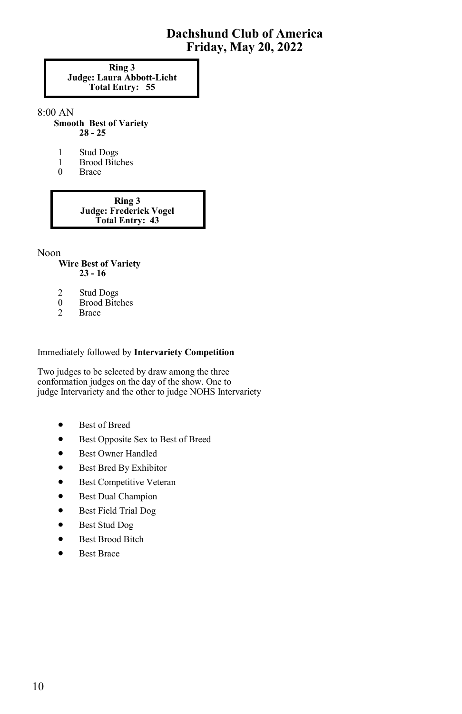# **Dachshund Club of America Friday, May 20, 2022**

**Ring 3 Judge: Laura Abbott-Licht Total Entry: 55**

#### 8:00 AN

 **Smooth Best of Variety 28 - 25**

- 1 Stud Dogs<br>1 Brood Bitc
- 1 Brood Bitches<br>0 Brace
- **Brace**

**Ring 3 Judge: Frederick Vogel Total Entry: 43**

Noon

#### **Wire Best of Variety 23 - 16**

- 2 Stud Dogs<br>0 Brood Bitc
- 0 Brood Bitches<br>2 Brace
- **Brace**

# Immediately followed by **Intervariety Competition**

Two judges to be selected by draw among the three conformation judges on the day of the show. One to judge Intervariety and the other to judge NOHS Intervariety

- Best of Breed
- Best Opposite Sex to Best of Breed
- Best Owner Handled
- Best Bred By Exhibitor
- Best Competitive Veteran
- Best Dual Champion
- Best Field Trial Dog
- Best Stud Dog
- Best Brood Bitch
- **Best Brace**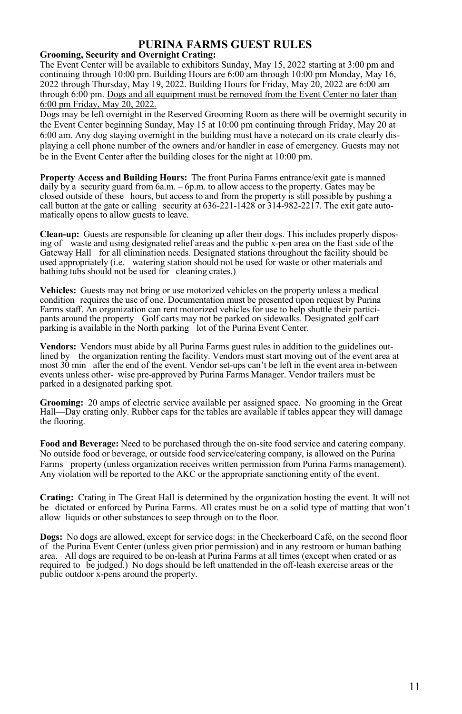# **PURINA FARMS GUEST RULES**

# **Grooming, Security and Overnight Crating:**

The Event Center will be available to exhibitors Sunday, May 15, 2022 starting at 3:00 pm and continuing through 10:00 pm. Building Hours are 6:00 am through 10:00 pm Monday, May 16, 2022 through Thursday, May 19, 2022. Building Hours for Friday, May 20, 2022 are 6:00 am through 6:00 pm. Dogs and all equipment must be removed from the Event Center no later than 6:00 pm Friday, May 20, 2022.

Dogs may be left overnight in the Reserved Grooming Room as there will be overnight security in the Event Center beginning Sunday, May 15 at 10:00 pm continuing through Friday, May 20 at 6:00 am. Any dog staying overnight in the building must have a notecard on its crate clearly displaying a cell phone number of the owners and/or handler in case of emergency. Guests may not be in the Event Center after the building closes for the night at 10:00 pm.

**Property Access and Building Hours:** The front Purina Farms entrance/exit gate is manned daily by a security guard from  $6a.m. - 6p.m.$  to allow access to the property. Gates may be closed outside of these hours, but access to and from the property is still possible by pushing a call button at the gate or calling security at  $636-221-1428$  or  $314-982-2217$ . The exit gate automatically opens to allow guests to leave.

**Clean‐up:** Guests are responsible for cleaning up after their dogs. This includes properly disposing of waste and using designated relief areas and the public x‐pen area on the East side of the Gateway Hall for all elimination needs. Designated stations throughout the facility should be used appropriately (i.e. watering station should not be used for waste or other materials and bathing tubs should not be used for cleaning crates.)

**Vehicles:** Guests may not bring or use motorized vehicles on the property unless a medical condition requires the use of one. Documentation must be presented upon request by Purina Farms staff. An organization can rent motorized vehicles for use to help shuttle their participants around the property Golf carts may not be parked on sidewalks. Designated golf cart parking is available in the North parking lot of the Purina Event Center.

**Vendors:** Vendors must abide by all Purina Farms guest rules in addition to the guidelines outlined by the organization renting the facility. Vendors must start moving out of the event area at most 30 min after the end of the event. Vendor set-ups can't be left in the event area in-between events unless other‐ wise pre‐approved by Purina Farms Manager. Vendor trailers must be parked in a designated parking spot.

**Grooming:** 20 amps of electric service available per assigned space. No grooming in the Great Hall—Day crating only. Rubber caps for the tables are available if tables appear they will damage the flooring.

**Food and Beverage:** Need to be purchased through the on‐site food service and catering company. No outside food or beverage, or outside food service/catering company, is allowed on the Purina Farms property (unless organization receives written permission from Purina Farms management). Any violation will be reported to the AKC or the appropriate sanctioning entity of the event.

**Crating:** Crating in The Great Hall is determined by the organization hosting the event. It will not be dictated or enforced by Purina Farms. All crates must be on a solid type of matting that won't allow liquids or other substances to seep through on to the floor.

**Dogs:** No dogs are allowed, except for service dogs: in the Checkerboard Café, on the second floor of the Purina Event Center (unless given prior permission) and in any restroom or human bathing area. All dogs are required to be on-leash at Purina Farms at all times (except when crated or as required to be judged.) No dogs should be left unattended in the off‐leash exercise areas or the public outdoor x‐pens around the property.